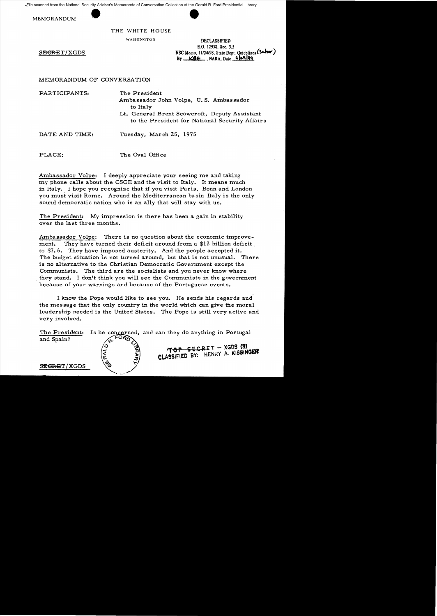File scanned from the National Security Adviser's Memoranda of Conversation Collection at the Gerald R. Ford Presidential Library

MEMORANDUM



THE WHITE HOUSE

WASHINGTON DECLASSIFIED E.O. 12958, See. *3.S*  **SECRET/XGDS NSC Memo.** 11/24/98, State Dept. Guidelines (Sulser)  $By$   $K9 +$ , NARA, Date  $629$ <sup>||99</sup>

MEMORANDUM OF CONVERSATION

PARTICIPANTS: The President

Ambassador John Volpe, U. S. Ambassador to Italy

Lt. General Brent Scowcroft, Deputy Assistant to the President for National Security Affairs

DATE AND TIME: Tuesday, March 25, 1975

PLACE: The Oval Office

Ambassador Volpe: I deeply appreciate your seeing me and taking my phone calls about the CSCE and the visit to Italy. It means much in Italy. I hope you recognize that if you visit Paris, Bonn and London you must visit Rome. Around the Mediterranean basin Italy is the only sound democratic nation who is an ally that will stay with us.

The President: My impression is there has been a gain in stability over the last three months.

Ambassador Volpe: There is no question about the economic improvement. They have turned their deficit around from a \$12 billion deficit to \$7.6. They have imposed austerity. And the people accepted it. The budget situation is not turned around, but that is not unusual. There is no alternative to the Christian Democratic Government except the Communists. The third are the socialists and you never know where . they stand. I don't think you will see the Communists in the government because of your warnings and because of the Portuguese events.

I know the Pope would like to see you. He sends his regards and the message that the only country in the world which can give the moral leadership needed is the United States. The Pope is still very active and very involved.

The President: Is he concerned, and can they do anything in Portugal and Spain? **rre PSi CR-£T - XGOS (3' CLASSIFIED BY: HENRY A. KISSINGER** S<del>EGRE</del>T/XGDS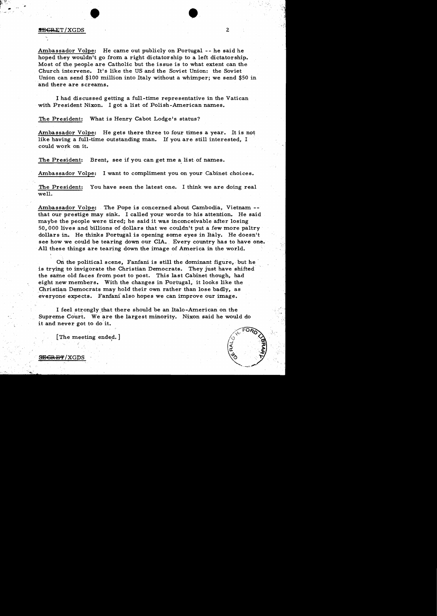## SiBGRET/XGDS 2

Ambassador Volpe: He came out publicly on Portugal -- he said he hoped they wouldn't go from a right dictatorship to a left dictatorship. Most of the. people are Catholic but the issue is to what extent can the Church intervene. It's like the US and the Soviet Union: the Soviet Union can send \$100 million into Italy without a whimper; we send \$50 in and there are screams.

 $\bullet$ 

l had discussed getting a full-time representative in the Vatican with President Nixon. I got a list of Polish-American names.

The President: What is Henry Cabot Lodge's status?

Ambassador Volpe: He gets there three to four times a year. It is not like having a full-time outstanding man. If you are still interested, I could work on it.

The President: Brent, see if you can get me a list of names.

Ambassador Volpe: I want to compliment you on your Cabinet choices.

The President: You have seen the latest one. I think we are doing real well.

Ambassador Volpe: The Pope is concerned about Cambodia, Vietnam that our prestige may sink. I called your words to his attention. He said maybe the people were tired; he said it was inconceivable after losing 50,000 lives and billions of dollars that we couldn't put a few more paltry dollars in. He thinks Portugal is opening some eyes in Italy. He doesn't see how we could be tearing down our CIA. Every country has to have one. All these things are tearing down the image of America in the world.

On the political scene, Fanfani is still the dominant figure, but he is trying to invigorate the Christian Democrats. They just have shifted the same old faces from post to post. This last Cabinet though, had eight new members. With the changes in Portugal, it looks like the Christian Democrats may hold their own rather than lose badly, as everyone expects. Fanfani also hopes we can improve our image.

I feel strongly that there should be an Italo-American on the Supreme Court. We are the largest minority. Nixon said he would do it and never got to do it.

[The meeting ended.]

<del>SECRET</del>/XGDS

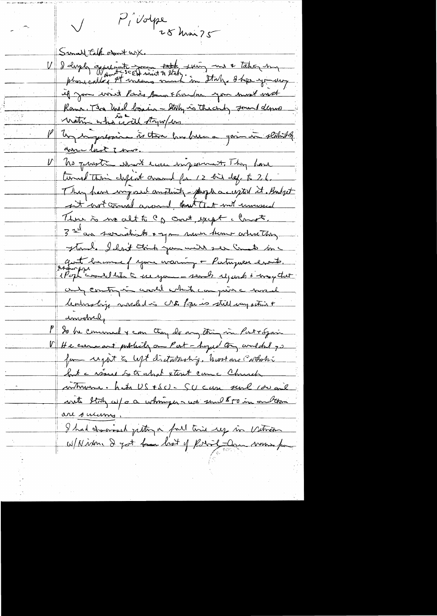P, volpe Sunall talk obout with V 2 days appenant me toth suing me taking my if you wint Paris Some Florida you must not Roma, The Unid bonin - Staly is the corby found depute with who will throughous Un important à that has been a goin in stability anne last 7 mm. No proste which ever injurient They have turned this chips about crossed for 12 bit def to 26. They have imposed anotherty-people accepted it. Budget it wot comment arrowed, that that with universed There is no alt to C & court, except a Compte. 3 rue an servictions + you more time where they Thank I had think you with ser Cometo inc grat banne f your waring + Partrywer exacts. and contry in world which can juin a world leadership mashed in No. Pope is still every action + anvolved, P So be commed & can they do any thing in Pattogain V He care art publicly on Part - hoped to and the 70 from regart to left distribution host are cortain but a résure les trappel xterit came Church when hit US + SCI - SCI can sent 100 and with Staty as/ or a whoming was send \$50 in onbtan are surems. I had charmond justin a fall time ey in Vitrin W/Nixon. I got fan hot of Robert Dan want for